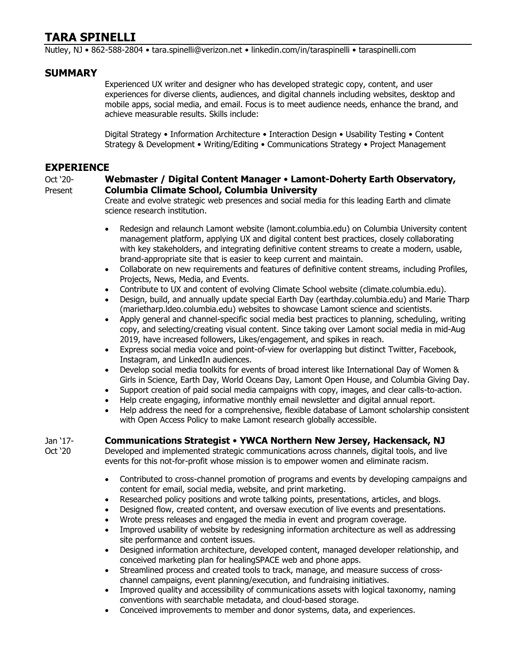# **TARA SPINELLI**

Nutley, NJ • 862-588-2804 • [tara.spinelli@verizon.net](mailto:tara.spinelli@verizon.net) • [linkedin.com/in/taraspinelli](https://www.linkedin.com/in/taraspinelli/) • [taraspinelli.com](https://www.taraspinelli.com/)

## **SUMMARY**

Experienced UX writer and designer who has developed strategic copy, content, and user experiences for diverse clients, audiences, and digital channels including websites, desktop and mobile apps, social media, and email. Focus is to meet audience needs, enhance the brand, and achieve measurable results. Skills include:

Digital Strategy • Information Architecture • Interaction Design • Usability Testing • Content Strategy & Development • Writing/Editing • Communications Strategy • Project Management

## **EXPERIENCE**

## Oct '20- **Webmaster / Digital Content Manager** • **Lamont-Doherty Earth Observatory,**  Present **Columbia Climate School, Columbia University**

Create and evolve strategic web presences and social media for this leading Earth and climate science research institution.

- Redesign and relaunch Lamont website [\(lamont.columbia.edu\)](https://lamont.columbia.edu/) on Columbia University content management platform, applying UX and digital content best practices, closely collaborating with key stakeholders, and integrating definitive content streams to create a modern, usable, brand-appropriate site that is easier to keep current and maintain.
- Collaborate on new requirements and features of definitive content streams, including Profiles, Projects, News, Media, and Events.
- Contribute to UX and content of evolving Climate School website [\(climate.columbia.edu\)](https://www.climate.columbia.edu/).
- Design, build, and annually update special Earth Day [\(earthday.columbia.edu\)](https://earthday.columbia.edu/) and Marie Tharp [\(marietharp.ldeo.columbia.edu\)](https://marietharp.ldeo.columbia.edu/) websites to showcase Lamont science and scientists.
- Apply general and channel-specific social media best practices to planning, scheduling, writing copy, and selecting/creating visual content. Since taking over Lamont social media in mid-Aug 2019, have increased followers, Likes/engagement, and spikes in reach.
- Express social media voice and point-of-view for overlapping but distinct Twitter, Facebook, Instagram, and LinkedIn audiences.
- Develop social media toolkits for events of broad interest like International Day of Women & Girls in Science, Earth Day, World Oceans Day, Lamont Open House, and Columbia Giving Day.
- Support creation of paid social media campaigns with copy, images, and clear calls-to-action.
- Help create engaging, informative monthly email newsletter and digital annual report.
- Help address the need for a comprehensive, flexible database of Lamont scholarship consistent with Open Access Policy to make Lamont research globally accessible.

## Jan '17- **Communications Strategist** • **YWCA Northern New Jersey, Hackensack, NJ**

Oct '20 Developed and implemented strategic communications across channels, digital tools, and live events for this not-for-profit whose mission is to empower women and eliminate racism.

- Contributed to cross-channel promotion of programs and events by developing campaigns and content for email, social media, website, and print marketing.
- Researched policy positions and wrote talking points, presentations, articles, and blogs.
- Designed flow, created content, and oversaw execution of live events and presentations.
- Wrote press releases and engaged the media in event and program coverage.
- Improved usability of website by redesigning information architecture as well as addressing site performance and content issues.
- Designed information architecture, developed content, managed developer relationship, and conceived marketing plan for healingSPACE web and phone apps.
- Streamlined process and created tools to track, manage, and measure success of crosschannel campaigns, event planning/execution, and fundraising initiatives.
- Improved quality and accessibility of communications assets with logical taxonomy, naming conventions with searchable metadata, and cloud-based storage.
- Conceived improvements to member and donor systems, data, and experiences.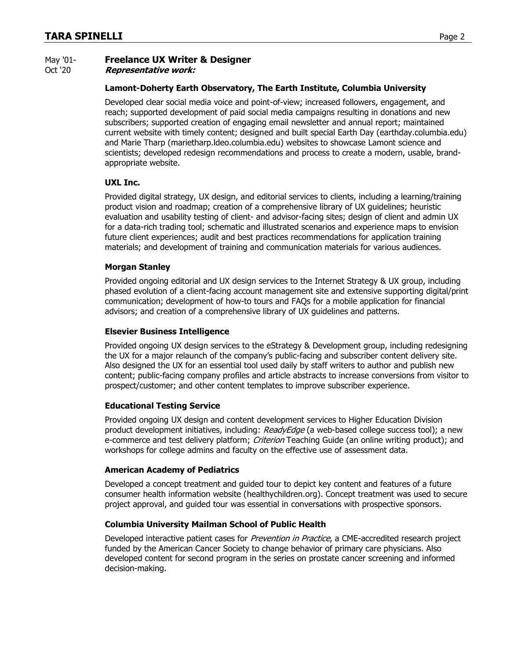## May '01- **Freelance UX Writer & Designer**

Oct '20 **Representative work:**

#### **Lamont-Doherty Earth Observatory, The Earth Institute, Columbia University**

Developed clear social media voice and point-of-view; increased followers, engagement, and reach; supported development of paid social media campaigns resulting in donations and new subscribers; supported creation of engaging email newsletter and annual report; maintained current website with timely content; designed and built special Earth Day [\(earthday.columbia.edu\)](https://earthday.columbia.edu/) and Marie Tharp [\(marietharp.ldeo.columbia.edu\)](https://marietharp.ldeo.columbia.edu/) websites to showcase Lamont science and scientists; developed redesign recommendations and process to create a modern, usable, brandappropriate website.

### **UXL Inc.**

Provided digital strategy, UX design, and editorial services to clients, including a learning/training product vision and roadmap; creation of a comprehensive library of UX guidelines; heuristic evaluation and usability testing of client- and advisor-facing sites; design of client and admin UX for a data-rich trading tool; schematic and illustrated scenarios and experience maps to envision future client experiences; audit and best practices recommendations for application training materials; and development of training and communication materials for various audiences.

#### **Morgan Stanley**

Provided ongoing editorial and UX design services to the Internet Strategy & UX group, including phased evolution of a client-facing account management site and extensive supporting digital/print communication; development of how-to tours and FAQs for a mobile application for financial advisors; and creation of a comprehensive library of UX guidelines and patterns.

#### **Elsevier Business Intelligence**

Provided ongoing UX design services to the eStrategy & Development group, including redesigning the UX for a major relaunch of the company's public-facing and subscriber content delivery site. Also designed the UX for an essential tool used daily by staff writers to author and publish new content; public-facing company profiles and article abstracts to increase conversions from visitor to prospect/customer; and other content templates to improve subscriber experience.

#### **Educational Testing Service**

Provided ongoing UX design and content development services to Higher Education Division product development initiatives, including: *ReadyEdge* (a web-based college success tool); a new e-commerce and test delivery platform; Criterion Teaching Guide (an online writing product); and workshops for college admins and faculty on the effective use of assessment data.

#### **American Academy of Pediatrics**

Developed a concept treatment and guided tour to depict key content and features of a future consumer health information website [\(healthychildren.org\)](https://www.healthychildren.org/). Concept treatment was used to secure project approval, and guided tour was essential in conversations with prospective sponsors.

### **Columbia University Mailman School of Public Health**

Developed interactive patient cases for *Prevention in Practice*, a CME-accredited research project funded by the American Cancer Society to change behavior of primary care physicians. Also developed content for second program in the series on prostate cancer screening and informed decision-making.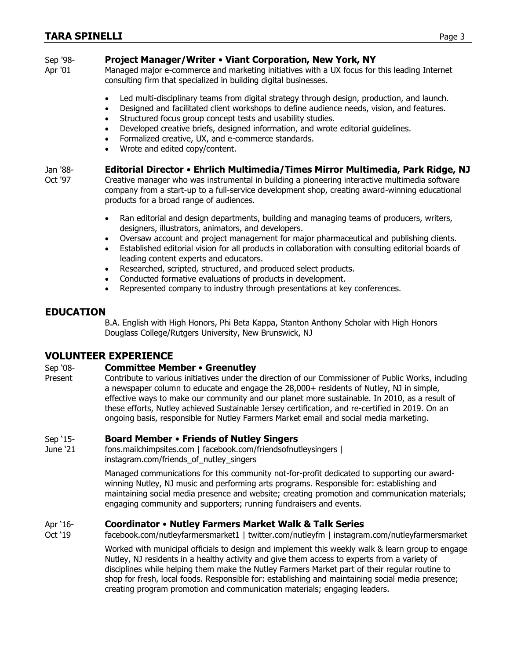## Sep '98- **Project Manager/Writer** • **Viant Corporation, New York, NY**

Apr '01 Managed major e-commerce and marketing initiatives with a UX focus for this leading Internet consulting firm that specialized in building digital businesses.

- Led multi-disciplinary teams from digital strategy through design, production, and launch.
- Designed and facilitated client workshops to define audience needs, vision, and features.
- Structured focus group concept tests and usability studies.
- Developed creative briefs, designed information, and wrote editorial guidelines.
- Formalized creative, UX, and e-commerce standards.
- Wrote and edited copy/content.

## Jan '88- **Editorial Director** • **Ehrlich Multimedia/Times Mirror Multimedia, Park Ridge, NJ**

Oct '97 Creative manager who was instrumental in building a pioneering interactive multimedia software company from a start-up to a full-service development shop, creating award-winning educational products for a broad range of audiences.

- Ran editorial and design departments, building and managing teams of producers, writers, designers, illustrators, animators, and developers.
- Oversaw account and project management for major pharmaceutical and publishing clients.
- Established editorial vision for all products in collaboration with consulting editorial boards of leading content experts and educators.
- Researched, scripted, structured, and produced select products.
- Conducted formative evaluations of products in development.
- Represented company to industry through presentations at key conferences.

## **EDUCATION**

B.A. English with High Honors, Phi Beta Kappa, Stanton Anthony Scholar with High Honors Douglass College/Rutgers University, New Brunswick, NJ

## **VOLUNTEER EXPERIENCE**

## Sep '08- **Committee Member** • **Greenutley**

Present Contribute to various initiatives under the direction of our Commissioner of Public Works, including a newspaper column to educate and engage the 28,000+ residents of Nutley, NJ in simple, effective ways to make our community and our planet more sustainable. In 2010, as a result of these efforts, Nutley achieved Sustainable Jersey certification, and re-certified in 2019. On an ongoing basis, responsible for Nutley Farmers Market email and social media marketing.

## Sep '15- **Board Member** • **Friends of Nutley Singers**

June '21 [fons.mailchimpsites.com](https://fons.mailchimpsites.com/) | [facebook.com/friendsofnutleysingers](https://www.facebook.com/friendsofnutleysingers) | [instagram.com/friends\\_of\\_nutley\\_singers](https://www.instagram.com/friends_of_nutley_singers)

> Managed communications for this community not-for-profit dedicated to supporting our awardwinning Nutley, NJ music and performing arts programs. Responsible for: establishing and maintaining social media presence and website; creating promotion and communication materials; engaging community and supporters; running fundraisers and events.

## Apr '16- **Coordinator** • **Nutley Farmers Market Walk & Talk Series**

Oct '19 [facebook.com/nutleyfarmersmarket1](https://www.facebook.com/nutleyfarmersmarket1) | [twitter.com/nutleyfm](https://twitter.com/nutleyfm) | [instagram.com/nutleyfarmersmarket](https://www.instagram.com/nutleyfarmersmarket/)

Worked with municipal officials to design and implement this weekly walk & learn group to engage Nutley, NJ residents in a healthy activity and give them access to experts from a variety of disciplines while helping them make the Nutley Farmers Market part of their regular routine to shop for fresh, local foods. Responsible for: establishing and maintaining social media presence; creating program promotion and communication materials; engaging leaders.